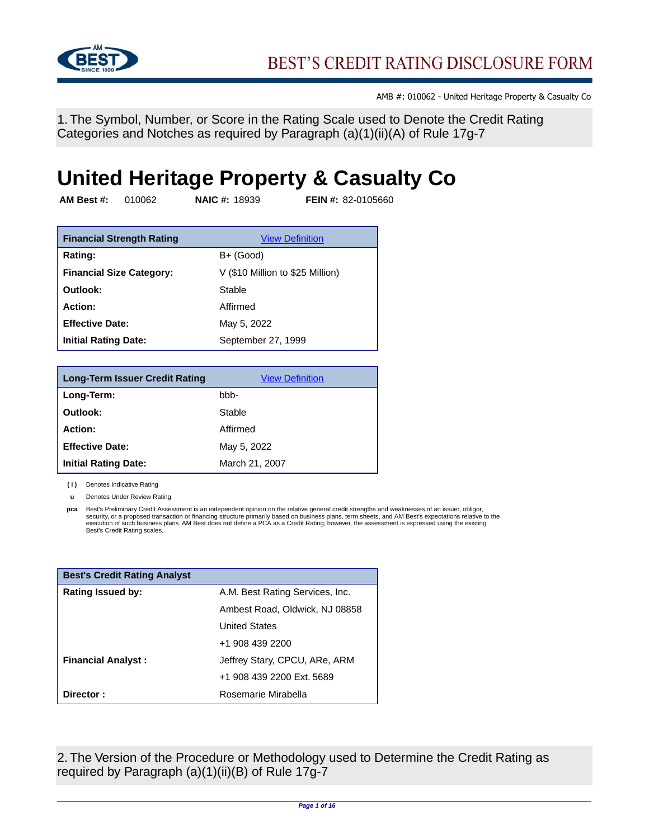

1. The Symbol, Number, or Score in the Rating Scale used to Denote the Credit Rating Categories and Notches as required by Paragraph (a)(1)(ii)(A) of Rule 17g-7

# **United Heritage Property & Casualty Co**

**AM Best #:** 010062 **NAIC #:** 18939 **FEIN #:** 82-0105660

| <b>Financial Strength Rating</b> | <b>View Definition</b>           |
|----------------------------------|----------------------------------|
| Rating:                          | B+ (Good)                        |
| <b>Financial Size Category:</b>  | V (\$10 Million to \$25 Million) |
| Outlook:                         | Stable                           |
| Action:                          | Affirmed                         |
| <b>Effective Date:</b>           | May 5, 2022                      |
| <b>Initial Rating Date:</b>      | September 27, 1999               |

| <b>Long-Term Issuer Credit Rating</b> | <b>View Definition</b> |
|---------------------------------------|------------------------|
| Long-Term:                            | bbb-                   |
| Outlook:                              | Stable                 |
| Action:                               | Affirmed               |
| <b>Effective Date:</b>                | May 5, 2022            |
| <b>Initial Rating Date:</b>           | March 21, 2007         |

**( i )** Denotes Indicative Rating

**u** Denotes Under Review Rating

**pca** Best's Preliminary Credit Assessment is an independent opinion on the relative general credit strengths and weaknesses of an issuer, obligor, security, or a proposed transaction or financing structure primarily based on business plans, term sheets, and AM Best's expectations relative to the<br>execution of such business plans. AM Best does not define a PCA as a Cre

| <b>Best's Credit Rating Analyst</b> |                                 |
|-------------------------------------|---------------------------------|
| <b>Rating Issued by:</b>            | A.M. Best Rating Services, Inc. |
|                                     | Ambest Road, Oldwick, NJ 08858  |
|                                     | <b>United States</b>            |
|                                     | +1 908 439 2200                 |
| <b>Financial Analyst:</b>           | Jeffrey Stary, CPCU, ARe, ARM   |
|                                     | +1 908 439 2200 Ext. 5689       |
| Director:                           | Rosemarie Mirabella             |

2. The Version of the Procedure or Methodology used to Determine the Credit Rating as required by Paragraph (a)(1)(ii)(B) of Rule 17g-7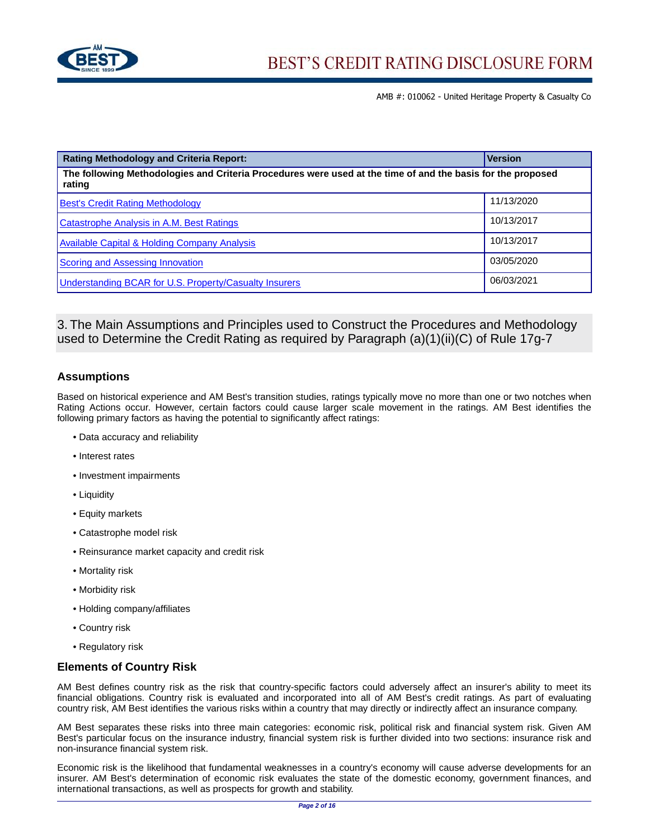

| <b>Rating Methodology and Criteria Report:</b>                                                                        | <b>Version</b> |  |
|-----------------------------------------------------------------------------------------------------------------------|----------------|--|
| The following Methodologies and Criteria Procedures were used at the time of and the basis for the proposed<br>rating |                |  |
| <b>Best's Credit Rating Methodology</b>                                                                               | 11/13/2020     |  |
| <b>Catastrophe Analysis in A.M. Best Ratings</b>                                                                      | 10/13/2017     |  |
| <b>Available Capital &amp; Holding Company Analysis</b>                                                               | 10/13/2017     |  |
| <b>Scoring and Assessing Innovation</b>                                                                               | 03/05/2020     |  |
| <b>Understanding BCAR for U.S. Property/Casualty Insurers</b>                                                         | 06/03/2021     |  |

# 3. The Main Assumptions and Principles used to Construct the Procedures and Methodology used to Determine the Credit Rating as required by Paragraph (a)(1)(ii)(C) of Rule 17g-7

# **Assumptions**

Based on historical experience and AM Best's transition studies, ratings typically move no more than one or two notches when Rating Actions occur. However, certain factors could cause larger scale movement in the ratings. AM Best identifies the following primary factors as having the potential to significantly affect ratings:

- Data accuracy and reliability
- Interest rates
- Investment impairments
- Liquidity
- Equity markets
- Catastrophe model risk
- Reinsurance market capacity and credit risk
- Mortality risk
- Morbidity risk
- Holding company/affiliates
- Country risk
- Regulatory risk

## **Elements of Country Risk**

AM Best defines country risk as the risk that country-specific factors could adversely affect an insurer's ability to meet its financial obligations. Country risk is evaluated and incorporated into all of AM Best's credit ratings. As part of evaluating country risk, AM Best identifies the various risks within a country that may directly or indirectly affect an insurance company.

AM Best separates these risks into three main categories: economic risk, political risk and financial system risk. Given AM Best's particular focus on the insurance industry, financial system risk is further divided into two sections: insurance risk and non-insurance financial system risk.

Economic risk is the likelihood that fundamental weaknesses in a country's economy will cause adverse developments for an insurer. AM Best's determination of economic risk evaluates the state of the domestic economy, government finances, and international transactions, as well as prospects for growth and stability.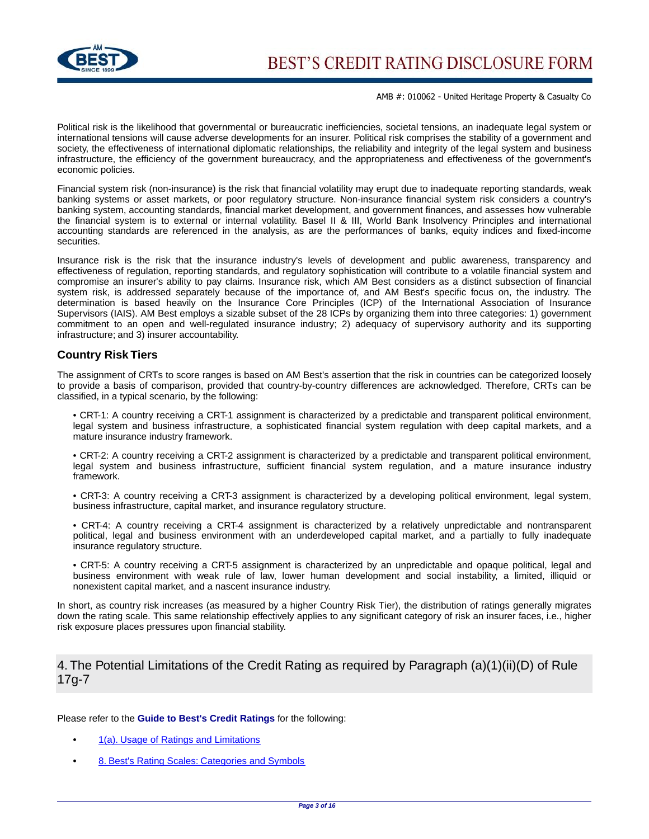

Political risk is the likelihood that governmental or bureaucratic inefficiencies, societal tensions, an inadequate legal system or international tensions will cause adverse developments for an insurer. Political risk comprises the stability of a government and society, the effectiveness of international diplomatic relationships, the reliability and integrity of the legal system and business infrastructure, the efficiency of the government bureaucracy, and the appropriateness and effectiveness of the government's economic policies.

Financial system risk (non-insurance) is the risk that financial volatility may erupt due to inadequate reporting standards, weak banking systems or asset markets, or poor regulatory structure. Non-insurance financial system risk considers a country's banking system, accounting standards, financial market development, and government finances, and assesses how vulnerable the financial system is to external or internal volatility. Basel II & III, World Bank Insolvency Principles and international accounting standards are referenced in the analysis, as are the performances of banks, equity indices and fixed-income securities.

Insurance risk is the risk that the insurance industry's levels of development and public awareness, transparency and effectiveness of regulation, reporting standards, and regulatory sophistication will contribute to a volatile financial system and compromise an insurer's ability to pay claims. Insurance risk, which AM Best considers as a distinct subsection of financial system risk, is addressed separately because of the importance of, and AM Best's specific focus on, the industry. The determination is based heavily on the Insurance Core Principles (ICP) of the International Association of Insurance Supervisors (IAIS). AM Best employs a sizable subset of the 28 ICPs by organizing them into three categories: 1) government commitment to an open and well-regulated insurance industry; 2) adequacy of supervisory authority and its supporting infrastructure; and 3) insurer accountability.

#### **Country Risk Tiers**

The assignment of CRTs to score ranges is based on AM Best's assertion that the risk in countries can be categorized loosely to provide a basis of comparison, provided that country-by-country differences are acknowledged. Therefore, CRTs can be classified, in a typical scenario, by the following:

• CRT-1: A country receiving a CRT-1 assignment is characterized by a predictable and transparent political environment, legal system and business infrastructure, a sophisticated financial system regulation with deep capital markets, and a mature insurance industry framework.

• CRT-2: A country receiving a CRT-2 assignment is characterized by a predictable and transparent political environment, legal system and business infrastructure, sufficient financial system regulation, and a mature insurance industry framework.

• CRT-3: A country receiving a CRT-3 assignment is characterized by a developing political environment, legal system, business infrastructure, capital market, and insurance regulatory structure.

• CRT-4: A country receiving a CRT-4 assignment is characterized by a relatively unpredictable and nontransparent political, legal and business environment with an underdeveloped capital market, and a partially to fully inadequate insurance regulatory structure.

• CRT-5: A country receiving a CRT-5 assignment is characterized by an unpredictable and opaque political, legal and business environment with weak rule of law, lower human development and social instability, a limited, illiquid or nonexistent capital market, and a nascent insurance industry.

In short, as country risk increases (as measured by a higher Country Risk Tier), the distribution of ratings generally migrates down the rating scale. This same relationship effectively applies to any significant category of risk an insurer faces, i.e., higher risk exposure places pressures upon financial stability.

# 4. The Potential Limitations of the Credit Rating as required by Paragraph (a)(1)(ii)(D) of Rule 17g-7

#### Please refer to the **Guide to Best's Credit Ratings** for the following:

- **•** [1\(a\). Usage of Ratings and Limitations](http://www3.ambest.com/ambv/ratingmethodology/openpdf.aspx?ubcr=1&ri=1465#Comments)
- **•** [8. Best's Rating Scales: Categories and Symbols](http://www3.ambest.com/ambv/ratingmethodology/openpdf.aspx?ubcr=1&ri=1465#Scales)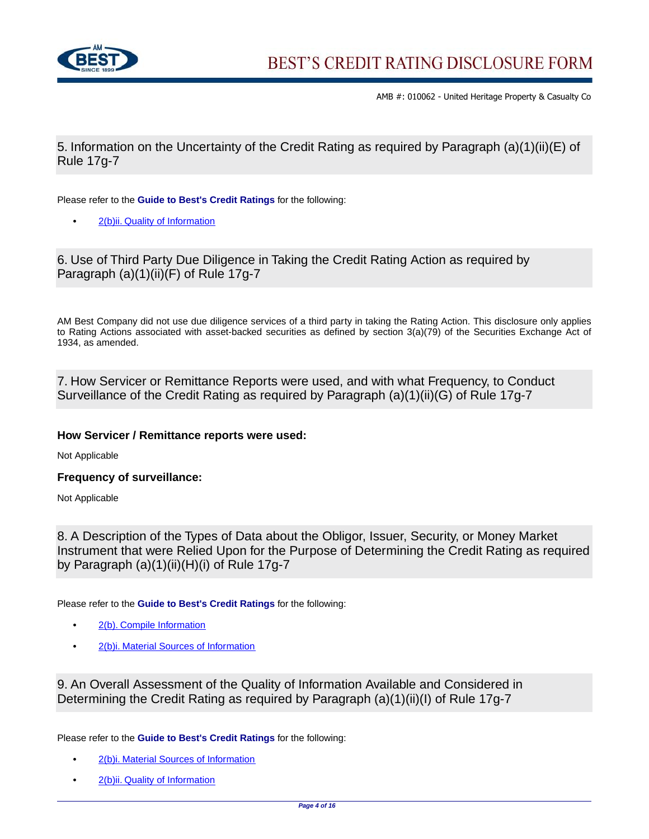

5. Information on the Uncertainty of the Credit Rating as required by Paragraph (a)(1)(ii)(E) of Rule 17g-7

Please refer to the **Guide to Best's Credit Ratings** for the following:

**•** [2\(b\)ii. Quality of Information](http://www3.ambest.com/ambv/ratingmethodology/openpdf.aspx?ubcr=1&ri=1465#Quality)

6. Use of Third Party Due Diligence in Taking the Credit Rating Action as required by Paragraph (a)(1)(ii)(F) of Rule 17q-7

AM Best Company did not use due diligence services of a third party in taking the Rating Action. This disclosure only applies to Rating Actions associated with asset-backed securities as defined by section 3(a)(79) of the Securities Exchange Act of 1934, as amended.

7. How Servicer or Remittance Reports were used, and with what Frequency, to Conduct Surveillance of the Credit Rating as required by Paragraph (a)(1)(ii)(G) of Rule 17g-7

## **How Servicer / Remittance reports were used:**

Not Applicable

**Frequency of surveillance:**

Not Applicable

8. A Description of the Types of Data about the Obligor, Issuer, Security, or Money Market Instrument that were Relied Upon for the Purpose of Determining the Credit Rating as required by Paragraph (a)(1)(ii)(H)(i) of Rule 17g-7

Please refer to the **Guide to Best's Credit Ratings** for the following:

- **•** [2\(b\). Compile Information](http://www3.ambest.com/ambv/ratingmethodology/openpdf.aspx?ubcr=1&ri=1465#Compile)
- **•** [2\(b\)i. Material Sources of Information](http://www3.ambest.com/ambv/ratingmethodology/openpdf.aspx?ubcr=1&ri=1465#Sources)

9. An Overall Assessment of the Quality of Information Available and Considered in Determining the Credit Rating as required by Paragraph (a)(1)(ii)(I) of Rule 17g-7

Please refer to the **Guide to Best's Credit Ratings** for the following:

- **•** [2\(b\)i. Material Sources of Information](http://www3.ambest.com/ambv/ratingmethodology/openpdf.aspx?ubcr=1&ri=1465#Sources)
- **•** [2\(b\)ii. Quality of Information](http://www3.ambest.com/ambv/ratingmethodology/openpdf.aspx?ubcr=1&ri=1465#Quality)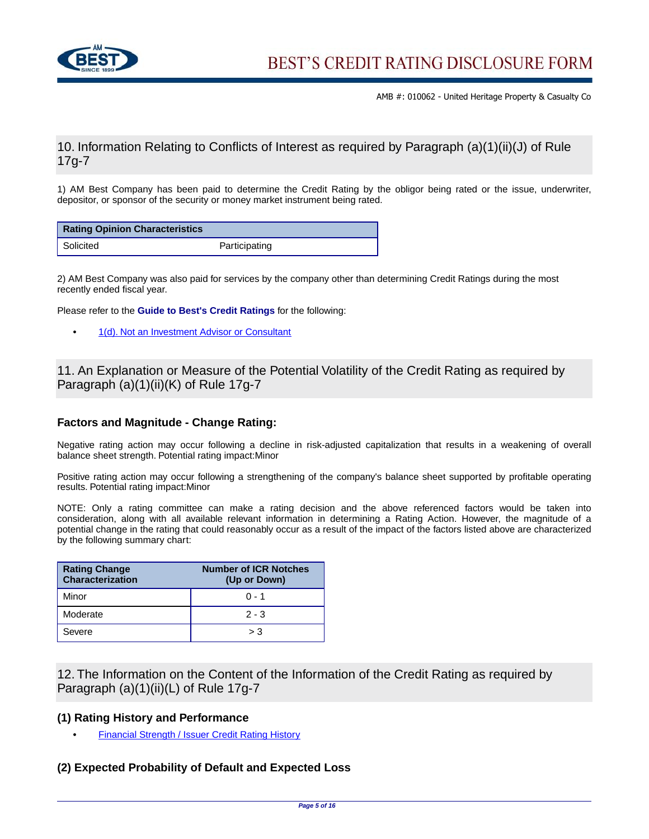

# 10. Information Relating to Conflicts of Interest as required by Paragraph (a)(1)(ii)(J) of Rule 17g-7

1) AM Best Company has been paid to determine the Credit Rating by the obligor being rated or the issue, underwriter, depositor, or sponsor of the security or money market instrument being rated.

| <b>Rating Opinion Characteristics</b> |               |
|---------------------------------------|---------------|
| Solicited                             | Participating |

2) AM Best Company was also paid for services by the company other than determining Credit Ratings during the most recently ended fiscal year.

Please refer to the **Guide to Best's Credit Ratings** for the following:

**•** [1\(d\). Not an Investment Advisor or Consultant](http://www3.ambest.com/ambv/ratingmethodology/openpdf.aspx?ubcr=1&ri=1465#Investment)

11. An Explanation or Measure of the Potential Volatility of the Credit Rating as required by Paragraph (a)(1)(ii)(K) of Rule 17g-7

### **Factors and Magnitude - Change Rating:**

Negative rating action may occur following a decline in risk-adjusted capitalization that results in a weakening of overall balance sheet strength. Potential rating impact:Minor

Positive rating action may occur following a strengthening of the company's balance sheet supported by profitable operating results. Potential rating impact:Minor

NOTE: Only a rating committee can make a rating decision and the above referenced factors would be taken into consideration, along with all available relevant information in determining a Rating Action. However, the magnitude of a potential change in the rating that could reasonably occur as a result of the impact of the factors listed above are characterized by the following summary chart:

| <b>Rating Change</b><br>Characterization | <b>Number of ICR Notches</b><br>(Up or Down) |
|------------------------------------------|----------------------------------------------|
| Minor                                    | $0 - 1$                                      |
| Moderate                                 | $2 - 3$                                      |
| Severe                                   | > 3                                          |

12. The Information on the Content of the Information of the Credit Rating as required by Paragraph (a)(1)(ii)(L) of Rule 17g-7

#### **(1) Rating History and Performance**

**•** [Financial Strength / Issuer Credit Rating History](http://ratings.ambest.com/CompanyProfile.aspx?AltSrc=135&ambnum=10062#hist)

## **(2) Expected Probability of Default and Expected Loss**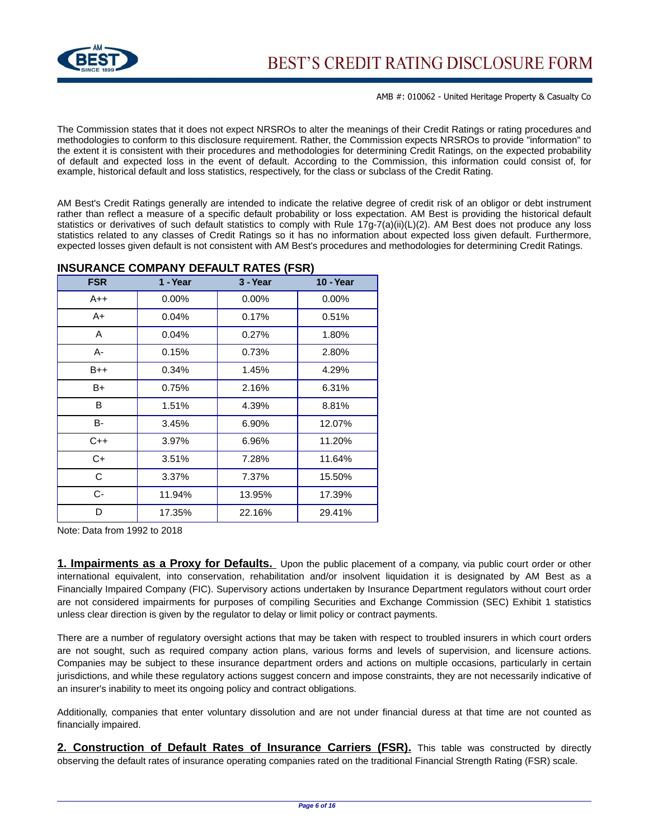

The Commission states that it does not expect NRSROs to alter the meanings of their Credit Ratings or rating procedures and methodologies to conform to this disclosure requirement. Rather, the Commission expects NRSROs to provide "information" to the extent it is consistent with their procedures and methodologies for determining Credit Ratings, on the expected probability of default and expected loss in the event of default. According to the Commission, this information could consist of, for example, historical default and loss statistics, respectively, for the class or subclass of the Credit Rating.

AM Best's Credit Ratings generally are intended to indicate the relative degree of credit risk of an obligor or debt instrument rather than reflect a measure of a specific default probability or loss expectation. AM Best is providing the historical default statistics or derivatives of such default statistics to comply with Rule 17g-7(a)(ii)(L)(2). AM Best does not produce any loss statistics related to any classes of Credit Ratings so it has no information about expected loss given default. Furthermore, expected losses given default is not consistent with AM Best's procedures and methodologies for determining Credit Ratings.

| <b>FSR</b> | 1 - Year | 3 - Year | <b>10 - Year</b> |
|------------|----------|----------|------------------|
| $A++$      | $0.00\%$ | $0.00\%$ | 0.00%            |
| A+         | 0.04%    | 0.17%    | 0.51%            |
| A          | 0.04%    | 0.27%    | 1.80%            |
| А-         | 0.15%    | 0.73%    | 2.80%            |
| $B++$      | 0.34%    | 1.45%    | 4.29%            |
| B+         | 0.75%    | 2.16%    | 6.31%            |
| B          | 1.51%    | 4.39%    | 8.81%            |
| B-         | 3.45%    | 6.90%    | 12.07%           |
| $C++$      | 3.97%    | 6.96%    | 11.20%           |
| C+         | 3.51%    | 7.28%    | 11.64%           |
| C          | 3.37%    | 7.37%    | 15.50%           |
| C-         | 11.94%   | 13.95%   | 17.39%           |
| D          | 17.35%   | 22.16%   | 29.41%           |

#### **INSURANCE COMPANY DEFAULT RATES (FSR)**

Note: Data from 1992 to 2018

**1. Impairments as a Proxy for Defaults.** Upon the public placement of a company, via public court order or other international equivalent, into conservation, rehabilitation and/or insolvent liquidation it is designated by AM Best as a Financially Impaired Company (FIC). Supervisory actions undertaken by Insurance Department regulators without court order are not considered impairments for purposes of compiling Securities and Exchange Commission (SEC) Exhibit 1 statistics unless clear direction is given by the regulator to delay or limit policy or contract payments.

There are a number of regulatory oversight actions that may be taken with respect to troubled insurers in which court orders are not sought, such as required company action plans, various forms and levels of supervision, and licensure actions. Companies may be subject to these insurance department orders and actions on multiple occasions, particularly in certain jurisdictions, and while these regulatory actions suggest concern and impose constraints, they are not necessarily indicative of an insurer's inability to meet its ongoing policy and contract obligations.

Additionally, companies that enter voluntary dissolution and are not under financial duress at that time are not counted as financially impaired.

**2. Construction of Default Rates of Insurance Carriers (FSR).** This table was constructed by directly observing the default rates of insurance operating companies rated on the traditional Financial Strength Rating (FSR) scale.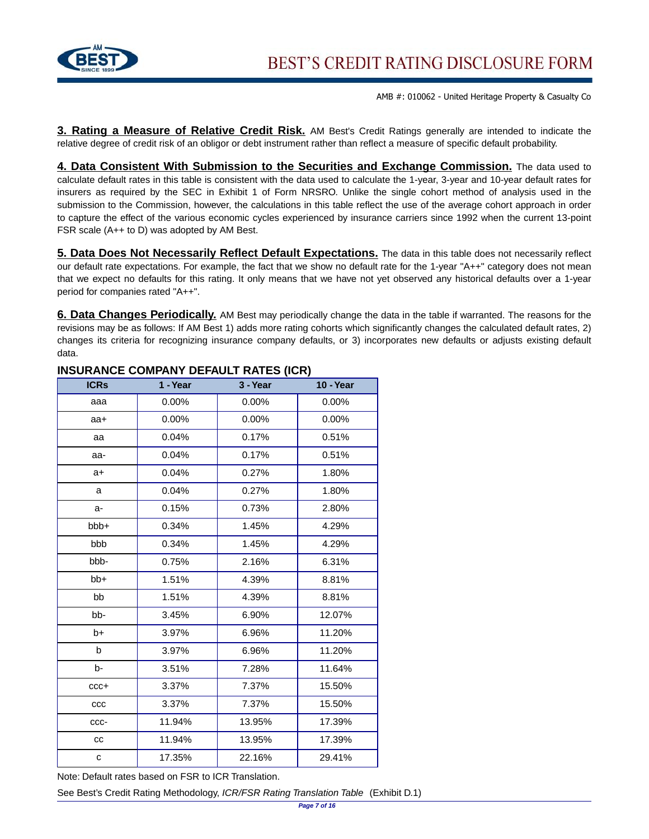

**3. Rating a Measure of Relative Credit Risk.** AM Best's Credit Ratings generally are intended to indicate the relative degree of credit risk of an obligor or debt instrument rather than reflect a measure of specific default probability.

**4. Data Consistent With Submission to the Securities and Exchange Commission.** The data used to calculate default rates in this table is consistent with the data used to calculate the 1-year, 3-year and 10-year default rates for insurers as required by the SEC in Exhibit 1 of Form NRSRO. Unlike the single cohort method of analysis used in the submission to the Commission, however, the calculations in this table reflect the use of the average cohort approach in order to capture the effect of the various economic cycles experienced by insurance carriers since 1992 when the current 13-point FSR scale (A++ to D) was adopted by AM Best.

**5. Data Does Not Necessarily Reflect Default Expectations.** The data in this table does not necessarily reflect our default rate expectations. For example, the fact that we show no default rate for the 1-year "A++" category does not mean that we expect no defaults for this rating. It only means that we have not yet observed any historical defaults over a 1-year period for companies rated "A++".

**6. Data Changes Periodically.** AM Best may periodically change the data in the table if warranted. The reasons for the revisions may be as follows: If AM Best 1) adds more rating cohorts which significantly changes the calculated default rates, 2) changes its criteria for recognizing insurance company defaults, or 3) incorporates new defaults or adjusts existing default data.

| <b>ICRs</b> | 1 - Year | 3 - Year | 10 - Year |
|-------------|----------|----------|-----------|
| aaa         | 0.00%    | 0.00%    | 0.00%     |
| aa+         | $0.00\%$ | $0.00\%$ | 0.00%     |
| aa          | 0.04%    | 0.17%    | 0.51%     |
| aa-         | 0.04%    | 0.17%    | 0.51%     |
| $a+$        | 0.04%    | 0.27%    | 1.80%     |
| a           | 0.04%    | 0.27%    | 1.80%     |
| a-          | 0.15%    | 0.73%    | 2.80%     |
| bbb+        | 0.34%    | 1.45%    | 4.29%     |
| bbb         | 0.34%    | 1.45%    | 4.29%     |
| bbb-        | 0.75%    | 2.16%    | 6.31%     |
| $bb+$       | 1.51%    | 4.39%    | 8.81%     |
| bb          | 1.51%    | 4.39%    | 8.81%     |
| bb-         | 3.45%    | 6.90%    | 12.07%    |
| b+          | 3.97%    | 6.96%    | 11.20%    |
| b           | 3.97%    | 6.96%    | 11.20%    |
| b-          | 3.51%    | 7.28%    | 11.64%    |
| $ccc+$      | 3.37%    | 7.37%    | 15.50%    |
| ccc         | 3.37%    | 7.37%    | 15.50%    |
| CCC-        | 11.94%   | 13.95%   | 17.39%    |
| cc          | 11.94%   | 13.95%   | 17.39%    |
| с           | 17.35%   | 22.16%   | 29.41%    |

## **INSURANCE COMPANY DEFAULT RATES (ICR)**

Note: Default rates based on FSR to ICR Translation.

See Best's Credit Rating Methodology, ICR/FSR Rating Translation Table (Exhibit D.1)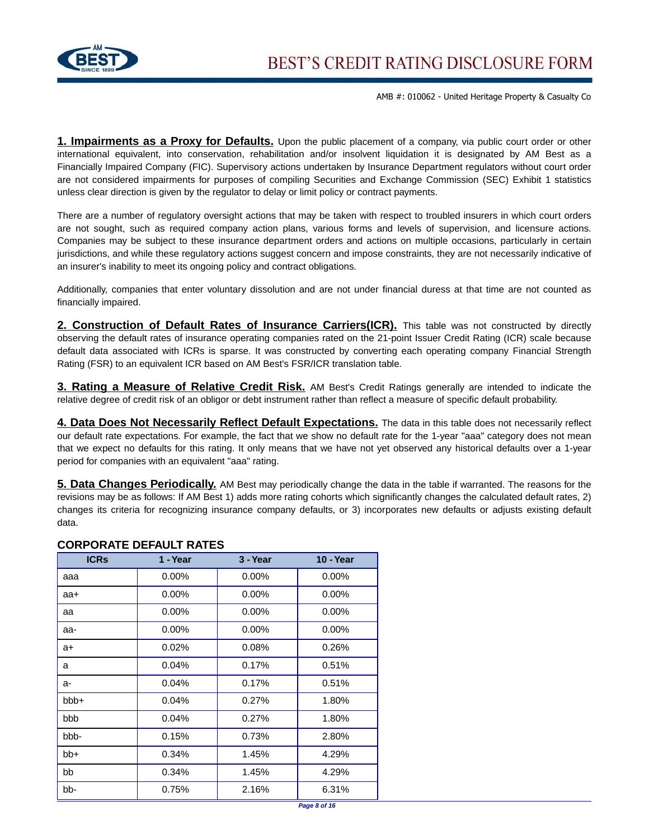

**1. Impairments as a Proxy for Defaults.** Upon the public placement of a company, via public court order or other international equivalent, into conservation, rehabilitation and/or insolvent liquidation it is designated by AM Best as a Financially Impaired Company (FIC). Supervisory actions undertaken by Insurance Department regulators without court order are not considered impairments for purposes of compiling Securities and Exchange Commission (SEC) Exhibit 1 statistics unless clear direction is given by the regulator to delay or limit policy or contract payments.

There are a number of regulatory oversight actions that may be taken with respect to troubled insurers in which court orders are not sought, such as required company action plans, various forms and levels of supervision, and licensure actions. Companies may be subject to these insurance department orders and actions on multiple occasions, particularly in certain jurisdictions, and while these regulatory actions suggest concern and impose constraints, they are not necessarily indicative of an insurer's inability to meet its ongoing policy and contract obligations.

Additionally, companies that enter voluntary dissolution and are not under financial duress at that time are not counted as financially impaired.

**2. Construction of Default Rates of Insurance Carriers(ICR).** This table was not constructed by directly observing the default rates of insurance operating companies rated on the 21-point Issuer Credit Rating (ICR) scale because default data associated with ICRs is sparse. It was constructed by converting each operating company Financial Strength Rating (FSR) to an equivalent ICR based on AM Best's FSR/ICR translation table.

**3. Rating a Measure of Relative Credit Risk.** AM Best's Credit Ratings generally are intended to indicate the relative degree of credit risk of an obligor or debt instrument rather than reflect a measure of specific default probability.

**4. Data Does Not Necessarily Reflect Default Expectations.** The data in this table does not necessarily reflect our default rate expectations. For example, the fact that we show no default rate for the 1-year "aaa" category does not mean that we expect no defaults for this rating. It only means that we have not yet observed any historical defaults over a 1-year period for companies with an equivalent "aaa" rating.

**5. Data Changes Periodically.** AM Best may periodically change the data in the table if warranted. The reasons for the revisions may be as follows: If AM Best 1) adds more rating cohorts which significantly changes the calculated default rates, 2) changes its criteria for recognizing insurance company defaults, or 3) incorporates new defaults or adjusts existing default data.

| <b>ICRS</b> | 1 - Year | 3 - Year | <b>10 - Year</b> |
|-------------|----------|----------|------------------|
| aaa         | $0.00\%$ | $0.00\%$ | $0.00\%$         |
| aa+         | $0.00\%$ | $0.00\%$ | $0.00\%$         |
| aa          | $0.00\%$ | $0.00\%$ | $0.00\%$         |
| aa-         | $0.00\%$ | $0.00\%$ | $0.00\%$         |
| a+          | 0.02%    | 0.08%    | 0.26%            |
| a           | 0.04%    | 0.17%    | 0.51%            |
| a-          | 0.04%    | 0.17%    | 0.51%            |
| $bbb +$     | 0.04%    | 0.27%    | 1.80%            |
| bbb         | 0.04%    | 0.27%    | 1.80%            |
| bbb-        | 0.15%    | 0.73%    | 2.80%            |
| bb+         | 0.34%    | 1.45%    | 4.29%            |
| bb          | 0.34%    | 1.45%    | 4.29%            |
| bb-         | 0.75%    | 2.16%    | 6.31%            |

## **CORPORATE DEFAULT RATES**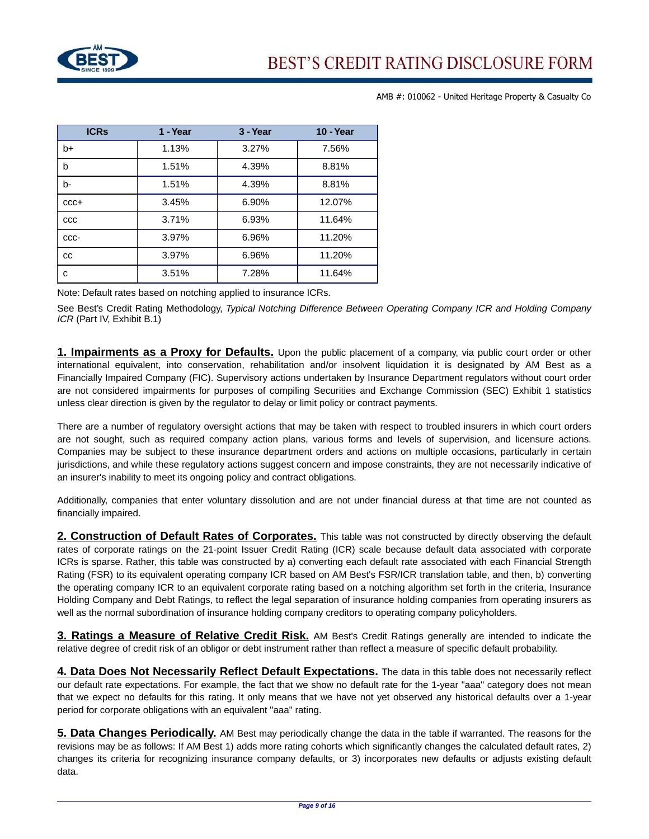

| <b>ICRS</b> | 1 - Year | 3 - Year | <b>10 - Year</b> |
|-------------|----------|----------|------------------|
| $b+$        | 1.13%    | 3.27%    | 7.56%            |
| b           | 1.51%    | 4.39%    | 8.81%            |
| b-          | 1.51%    | 4.39%    | 8.81%            |
| $CCC +$     | 3.45%    | 6.90%    | 12.07%           |
| CCC         | 3.71%    | 6.93%    | 11.64%           |
| CCC-        | 3.97%    | 6.96%    | 11.20%           |
| CC          | 3.97%    | 6.96%    | 11.20%           |
| с           | 3.51%    | 7.28%    | 11.64%           |

Note: Default rates based on notching applied to insurance ICRs.

See Best's Credit Rating Methodology, Typical Notching Difference Between Operating Company ICR and Holding Company ICR (Part IV, Exhibit B.1)

**1. Impairments as a Proxy for Defaults.** Upon the public placement of a company, via public court order or other international equivalent, into conservation, rehabilitation and/or insolvent liquidation it is designated by AM Best as a Financially Impaired Company (FIC). Supervisory actions undertaken by Insurance Department regulators without court order are not considered impairments for purposes of compiling Securities and Exchange Commission (SEC) Exhibit 1 statistics unless clear direction is given by the regulator to delay or limit policy or contract payments.

There are a number of regulatory oversight actions that may be taken with respect to troubled insurers in which court orders are not sought, such as required company action plans, various forms and levels of supervision, and licensure actions. Companies may be subject to these insurance department orders and actions on multiple occasions, particularly in certain jurisdictions, and while these regulatory actions suggest concern and impose constraints, they are not necessarily indicative of an insurer's inability to meet its ongoing policy and contract obligations.

Additionally, companies that enter voluntary dissolution and are not under financial duress at that time are not counted as financially impaired.

**2. Construction of Default Rates of Corporates.** This table was not constructed by directly observing the default rates of corporate ratings on the 21-point Issuer Credit Rating (ICR) scale because default data associated with corporate ICRs is sparse. Rather, this table was constructed by a) converting each default rate associated with each Financial Strength Rating (FSR) to its equivalent operating company ICR based on AM Best's FSR/ICR translation table, and then, b) converting the operating company ICR to an equivalent corporate rating based on a notching algorithm set forth in the criteria, Insurance Holding Company and Debt Ratings, to reflect the legal separation of insurance holding companies from operating insurers as well as the normal subordination of insurance holding company creditors to operating company policyholders.

**3. Ratings a Measure of Relative Credit Risk.** AM Best's Credit Ratings generally are intended to indicate the relative degree of credit risk of an obligor or debt instrument rather than reflect a measure of specific default probability.

**4. Data Does Not Necessarily Reflect Default Expectations.** The data in this table does not necessarily reflect our default rate expectations. For example, the fact that we show no default rate for the 1-year "aaa" category does not mean that we expect no defaults for this rating. It only means that we have not yet observed any historical defaults over a 1-year period for corporate obligations with an equivalent "aaa" rating.

**5. Data Changes Periodically.** AM Best may periodically change the data in the table if warranted. The reasons for the revisions may be as follows: If AM Best 1) adds more rating cohorts which significantly changes the calculated default rates, 2) changes its criteria for recognizing insurance company defaults, or 3) incorporates new defaults or adjusts existing default data.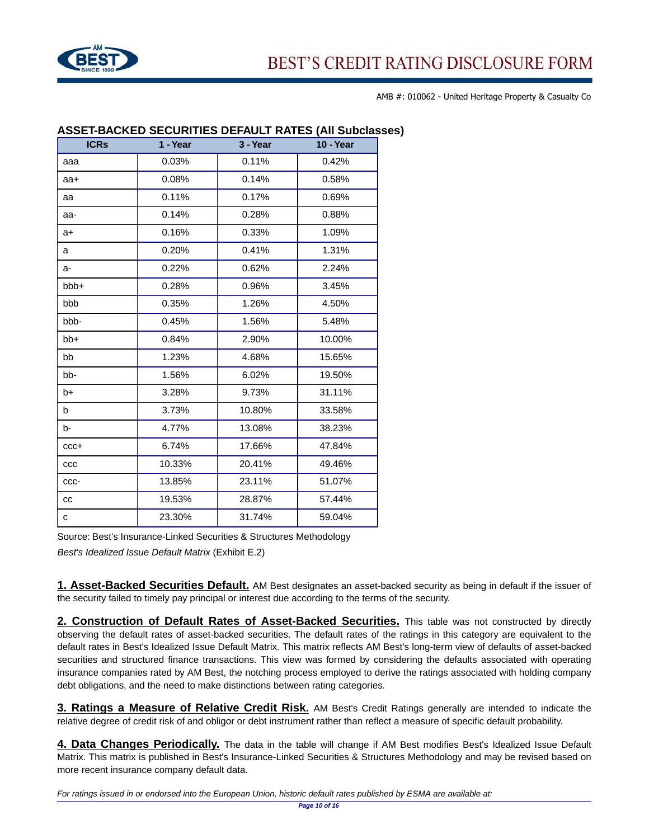

| <b>ICRs</b> | 1 - Year | 3 - Year | <b>10 - Year</b> |
|-------------|----------|----------|------------------|
| aaa         | 0.03%    | 0.11%    | 0.42%            |
| aa+         | 0.08%    | 0.14%    | 0.58%            |
| aa          | 0.11%    | 0.17%    | 0.69%            |
| aa-         | 0.14%    | 0.28%    | 0.88%            |
| a+          | 0.16%    | 0.33%    | 1.09%            |
| a           | 0.20%    | 0.41%    | 1.31%            |
| a-          | 0.22%    | 0.62%    | 2.24%            |
| bbb+        | 0.28%    | 0.96%    | 3.45%            |
| bbb         | 0.35%    | 1.26%    | 4.50%            |
| bbb-        | 0.45%    | 1.56%    | 5.48%            |
| bb+         | 0.84%    | 2.90%    | 10.00%           |
| bb          | 1.23%    | 4.68%    | 15.65%           |
| bb-         | 1.56%    | 6.02%    | 19.50%           |
| b+          | 3.28%    | 9.73%    | 31.11%           |
| b           | 3.73%    | 10.80%   | 33.58%           |
| b-          | 4.77%    | 13.08%   | 38.23%           |
| $ccc+$      | 6.74%    | 17.66%   | 47.84%           |
| ccc         | 10.33%   | 20.41%   | 49.46%           |
| CCC-        | 13.85%   | 23.11%   | 51.07%           |
| cc          | 19.53%   | 28.87%   | 57.44%           |
| с           | 23.30%   | 31.74%   | 59.04%           |

## **ASSET-BACKED SECURITIES DEFAULT RATES (All Subclasses)**

Source: Best's Insurance-Linked Securities & Structures Methodology

Best's Idealized Issue Default Matrix (Exhibit E.2)

**1. Asset-Backed Securities Default.** AM Best designates an asset-backed security as being in default if the issuer of the security failed to timely pay principal or interest due according to the terms of the security.

**2. Construction of Default Rates of Asset-Backed Securities.** This table was not constructed by directly observing the default rates of asset-backed securities. The default rates of the ratings in this category are equivalent to the default rates in Best's Idealized Issue Default Matrix. This matrix reflects AM Best's long-term view of defaults of asset-backed securities and structured finance transactions. This view was formed by considering the defaults associated with operating insurance companies rated by AM Best, the notching process employed to derive the ratings associated with holding company debt obligations, and the need to make distinctions between rating categories.

**3. Ratings a Measure of Relative Credit Risk.** AM Best's Credit Ratings generally are intended to indicate the relative degree of credit risk of and obligor or debt instrument rather than reflect a measure of specific default probability.

**4. Data Changes Periodically.** The data in the table will change if AM Best modifies Best's Idealized Issue Default Matrix. This matrix is published in Best's Insurance-Linked Securities & Structures Methodology and may be revised based on more recent insurance company default data.

For ratings issued in or endorsed into the European Union, historic default rates published by ESMA are available at: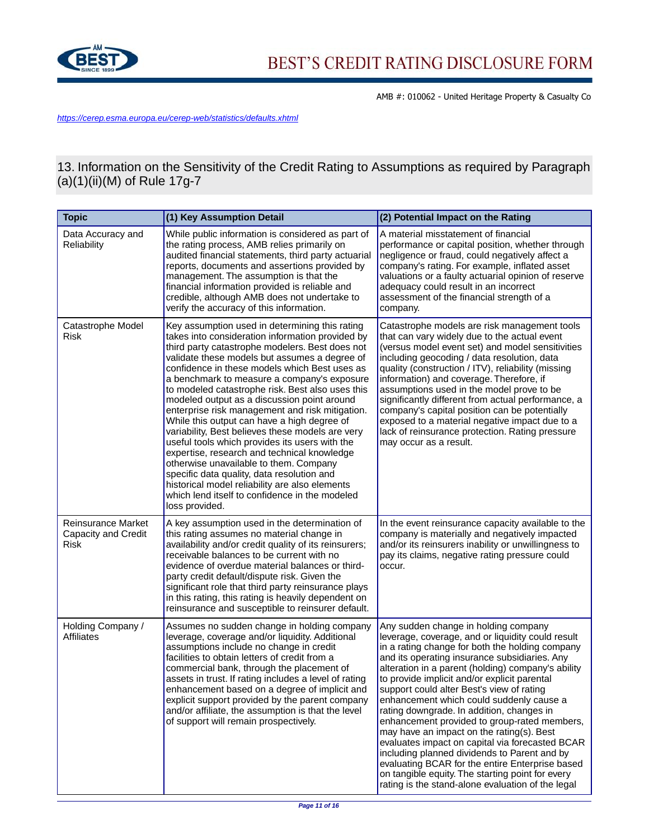

<https://cerep.esma.europa.eu/cerep-web/statistics/defaults.xhtml>

13. Information on the Sensitivity of the Credit Rating to Assumptions as required by Paragraph (a)(1)(ii)(M) of Rule 17g-7

| <b>Topic</b>                                             | (1) Key Assumption Detail                                                                                                                                                                                                                                                                                                                                                                                                                                                                                                                                                                                                                                                                                                                                                                                                                                                      | (2) Potential Impact on the Rating                                                                                                                                                                                                                                                                                                                                                                                                                                                                                                                                                                                                                                                                                                                                                                    |
|----------------------------------------------------------|--------------------------------------------------------------------------------------------------------------------------------------------------------------------------------------------------------------------------------------------------------------------------------------------------------------------------------------------------------------------------------------------------------------------------------------------------------------------------------------------------------------------------------------------------------------------------------------------------------------------------------------------------------------------------------------------------------------------------------------------------------------------------------------------------------------------------------------------------------------------------------|-------------------------------------------------------------------------------------------------------------------------------------------------------------------------------------------------------------------------------------------------------------------------------------------------------------------------------------------------------------------------------------------------------------------------------------------------------------------------------------------------------------------------------------------------------------------------------------------------------------------------------------------------------------------------------------------------------------------------------------------------------------------------------------------------------|
| Data Accuracy and<br><b>Reliability</b>                  | While public information is considered as part of<br>the rating process, AMB relies primarily on<br>audited financial statements, third party actuarial<br>reports, documents and assertions provided by<br>management. The assumption is that the<br>financial information provided is reliable and<br>credible, although AMB does not undertake to<br>verify the accuracy of this information.                                                                                                                                                                                                                                                                                                                                                                                                                                                                               | A material misstatement of financial<br>performance or capital position, whether through<br>negligence or fraud, could negatively affect a<br>company's rating. For example, inflated asset<br>valuations or a faulty actuarial opinion of reserve<br>adequacy could result in an incorrect<br>assessment of the financial strength of a<br>company.                                                                                                                                                                                                                                                                                                                                                                                                                                                  |
| Catastrophe Model<br>Risk                                | Key assumption used in determining this rating<br>takes into consideration information provided by<br>third party catastrophe modelers. Best does not<br>validate these models but assumes a degree of<br>confidence in these models which Best uses as<br>a benchmark to measure a company's exposure<br>to modeled catastrophe risk. Best also uses this<br>modeled output as a discussion point around<br>enterprise risk management and risk mitigation.<br>While this output can have a high degree of<br>variability, Best believes these models are very<br>useful tools which provides its users with the<br>expertise, research and technical knowledge<br>otherwise unavailable to them. Company<br>specific data quality, data resolution and<br>historical model reliability are also elements<br>which lend itself to confidence in the modeled<br>loss provided. | Catastrophe models are risk management tools<br>that can vary widely due to the actual event<br>(versus model event set) and model sensitivities<br>including geocoding / data resolution, data<br>quality (construction / ITV), reliability (missing<br>information) and coverage. Therefore, if<br>assumptions used in the model prove to be<br>significantly different from actual performance, a<br>company's capital position can be potentially<br>exposed to a material negative impact due to a<br>lack of reinsurance protection. Rating pressure<br>may occur as a result.                                                                                                                                                                                                                  |
| <b>Reinsurance Market</b><br>Capacity and Credit<br>Risk | A key assumption used in the determination of<br>this rating assumes no material change in<br>availability and/or credit quality of its reinsurers;<br>receivable balances to be current with no<br>evidence of overdue material balances or third-<br>party credit default/dispute risk. Given the<br>significant role that third party reinsurance plays<br>in this rating, this rating is heavily dependent on<br>reinsurance and susceptible to reinsurer default.                                                                                                                                                                                                                                                                                                                                                                                                         | In the event reinsurance capacity available to the<br>company is materially and negatively impacted<br>and/or its reinsurers inability or unwillingness to<br>pay its claims, negative rating pressure could<br>occur.                                                                                                                                                                                                                                                                                                                                                                                                                                                                                                                                                                                |
| Holding Company /<br>Affiliates                          | Assumes no sudden change in holding company<br>leverage, coverage and/or liquidity. Additional<br>assumptions include no change in credit<br>facilities to obtain letters of credit from a<br>commercial bank, through the placement of<br>assets in trust. If rating includes a level of rating<br>enhancement based on a degree of implicit and<br>explicit support provided by the parent company<br>and/or affiliate, the assumption is that the level<br>of support will remain prospectively.                                                                                                                                                                                                                                                                                                                                                                            | Any sudden change in holding company<br>leverage, coverage, and or liquidity could result<br>in a rating change for both the holding company<br>and its operating insurance subsidiaries. Any<br>alteration in a parent (holding) company's ability<br>to provide implicit and/or explicit parental<br>support could alter Best's view of rating<br>enhancement which could suddenly cause a<br>rating downgrade. In addition, changes in<br>enhancement provided to group-rated members,<br>may have an impact on the rating(s). Best<br>evaluates impact on capital via forecasted BCAR<br>including planned dividends to Parent and by<br>evaluating BCAR for the entire Enterprise based<br>on tangible equity. The starting point for every<br>rating is the stand-alone evaluation of the legal |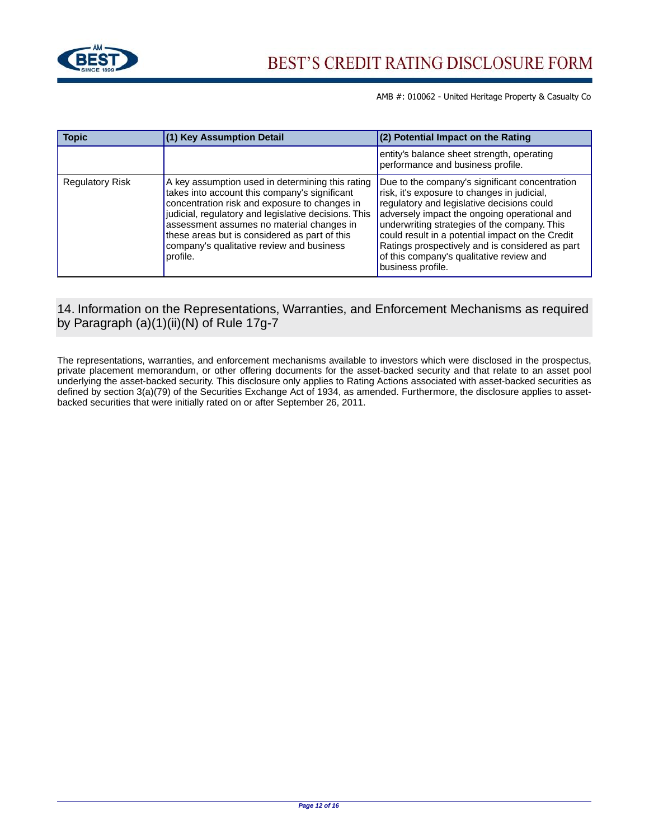

| <b>Topic</b>           | (1) Key Assumption Detail                                                                                                                                                                                                                                                                                                                                         | $(2)$ Potential Impact on the Rating                                                                                                                                                                                                                                                                                                                                                                                |
|------------------------|-------------------------------------------------------------------------------------------------------------------------------------------------------------------------------------------------------------------------------------------------------------------------------------------------------------------------------------------------------------------|---------------------------------------------------------------------------------------------------------------------------------------------------------------------------------------------------------------------------------------------------------------------------------------------------------------------------------------------------------------------------------------------------------------------|
|                        |                                                                                                                                                                                                                                                                                                                                                                   | entity's balance sheet strength, operating<br>performance and business profile.                                                                                                                                                                                                                                                                                                                                     |
| <b>Regulatory Risk</b> | A key assumption used in determining this rating<br>takes into account this company's significant<br>concentration risk and exposure to changes in<br>judicial, regulatory and legislative decisions. This<br>assessment assumes no material changes in<br>these areas but is considered as part of this<br>company's qualitative review and business<br>profile. | Due to the company's significant concentration<br>risk, it's exposure to changes in judicial,<br>regulatory and legislative decisions could<br>adversely impact the ongoing operational and<br>underwriting strategies of the company. This<br>could result in a potential impact on the Credit<br>Ratings prospectively and is considered as part<br>of this company's qualitative review and<br>business profile. |

# 14. Information on the Representations, Warranties, and Enforcement Mechanisms as required by Paragraph (a)(1)(ii)(N) of Rule 17g-7

The representations, warranties, and enforcement mechanisms available to investors which were disclosed in the prospectus, private placement memorandum, or other offering documents for the asset-backed security and that relate to an asset pool underlying the asset-backed security. This disclosure only applies to Rating Actions associated with asset-backed securities as defined by section 3(a)(79) of the Securities Exchange Act of 1934, as amended. Furthermore, the disclosure applies to assetbacked securities that were initially rated on or after September 26, 2011.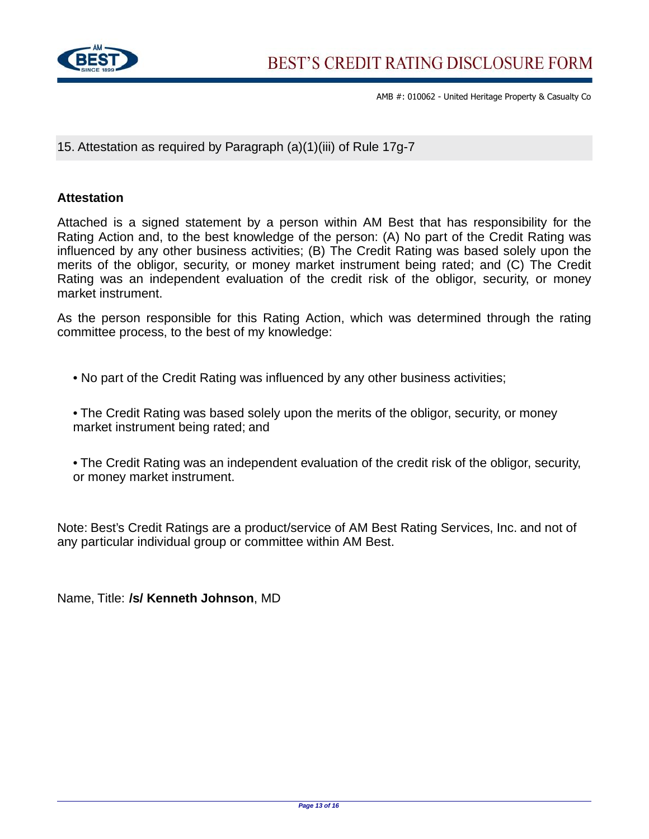

15. Attestation as required by Paragraph (a)(1)(iii) of Rule 17g-7

# **Attestation**

Attached is a signed statement by a person within AM Best that has responsibility for the Rating Action and, to the best knowledge of the person: (A) No part of the Credit Rating was influenced by any other business activities; (B) The Credit Rating was based solely upon the merits of the obligor, security, or money market instrument being rated; and (C) The Credit Rating was an independent evaluation of the credit risk of the obligor, security, or money market instrument.

As the person responsible for this Rating Action, which was determined through the rating committee process, to the best of my knowledge:

• No part of the Credit Rating was influenced by any other business activities;

• The Credit Rating was based solely upon the merits of the obligor, security, or money market instrument being rated; and

• The Credit Rating was an independent evaluation of the credit risk of the obligor, security, or money market instrument.

Note: Best's Credit Ratings are a product/service of AM Best Rating Services, Inc. and not of any particular individual group or committee within AM Best.

Name, Title: **/s/ Kenneth Johnson**, MD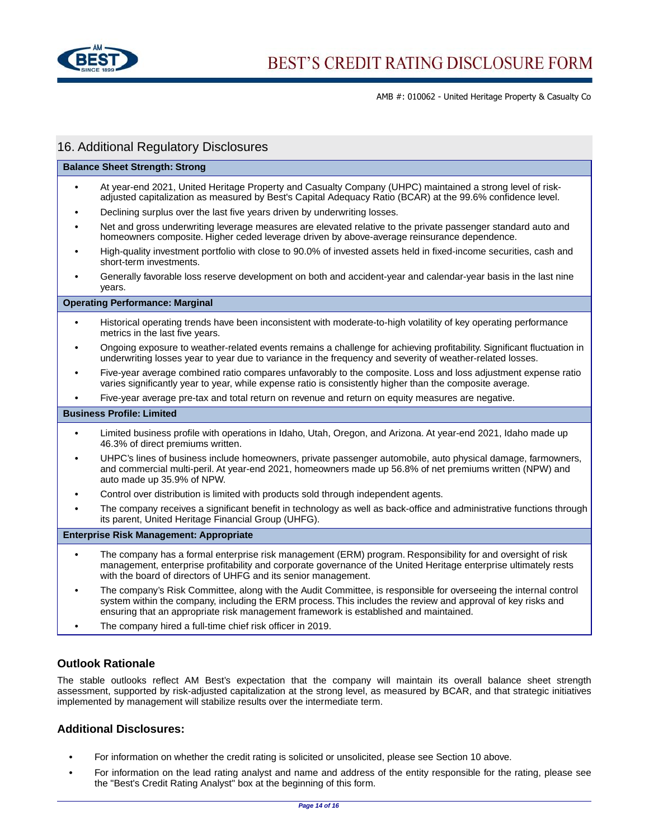

# 16. Additional Regulatory Disclosures

#### **Balance Sheet Strength: Strong**

- **•** At year-end 2021, United Heritage Property and Casualty Company (UHPC) maintained a strong level of riskadjusted capitalization as measured by Best's Capital Adequacy Ratio (BCAR) at the 99.6% confidence level.
- **•** Declining surplus over the last five years driven by underwriting losses.
- **•** Net and gross underwriting leverage measures are elevated relative to the private passenger standard auto and homeowners composite. Higher ceded leverage driven by above-average reinsurance dependence.
- **•** High-quality investment portfolio with close to 90.0% of invested assets held in fixed-income securities, cash and short-term investments.
- **•** Generally favorable loss reserve development on both and accident-year and calendar-year basis in the last nine years.

#### **Operating Performance: Marginal**

- **•** Historical operating trends have been inconsistent with moderate-to-high volatility of key operating performance metrics in the last five years.
- **•** Ongoing exposure to weather-related events remains a challenge for achieving profitability. Significant fluctuation in underwriting losses year to year due to variance in the frequency and severity of weather-related losses.
- **•** Five-year average combined ratio compares unfavorably to the composite. Loss and loss adjustment expense ratio varies significantly year to year, while expense ratio is consistently higher than the composite average.
- **•** Five-year average pre-tax and total return on revenue and return on equity measures are negative.

#### **Business Profile: Limited**

- **•** Limited business profile with operations in Idaho, Utah, Oregon, and Arizona. At year-end 2021, Idaho made up 46.3% of direct premiums written.
- **•** UHPC's lines of business include homeowners, private passenger automobile, auto physical damage, farmowners, and commercial multi-peril. At year-end 2021, homeowners made up 56.8% of net premiums written (NPW) and auto made up 35.9% of NPW.
- **•** Control over distribution is limited with products sold through independent agents.
- **•** The company receives a significant benefit in technology as well as back-office and administrative functions through its parent, United Heritage Financial Group (UHFG).

#### **Enterprise Risk Management: Appropriate**

- **•** The company has a formal enterprise risk management (ERM) program. Responsibility for and oversight of risk management, enterprise profitability and corporate governance of the United Heritage enterprise ultimately rests with the board of directors of UHFG and its senior management.
- **•** The company's Risk Committee, along with the Audit Committee, is responsible for overseeing the internal control system within the company, including the ERM process. This includes the review and approval of key risks and ensuring that an appropriate risk management framework is established and maintained.
- **•** The company hired a full-time chief risk officer in 2019.

#### **Outlook Rationale**

The stable outlooks reflect AM Best's expectation that the company will maintain its overall balance sheet strength assessment, supported by risk-adjusted capitalization at the strong level, as measured by BCAR, and that strategic initiatives implemented by management will stabilize results over the intermediate term.

#### **Additional Disclosures:**

- **•** For information on whether the credit rating is solicited or unsolicited, please see Section 10 above.
- **•** For information on the lead rating analyst and name and address of the entity responsible for the rating, please see the "Best's Credit Rating Analyst" box at the beginning of this form.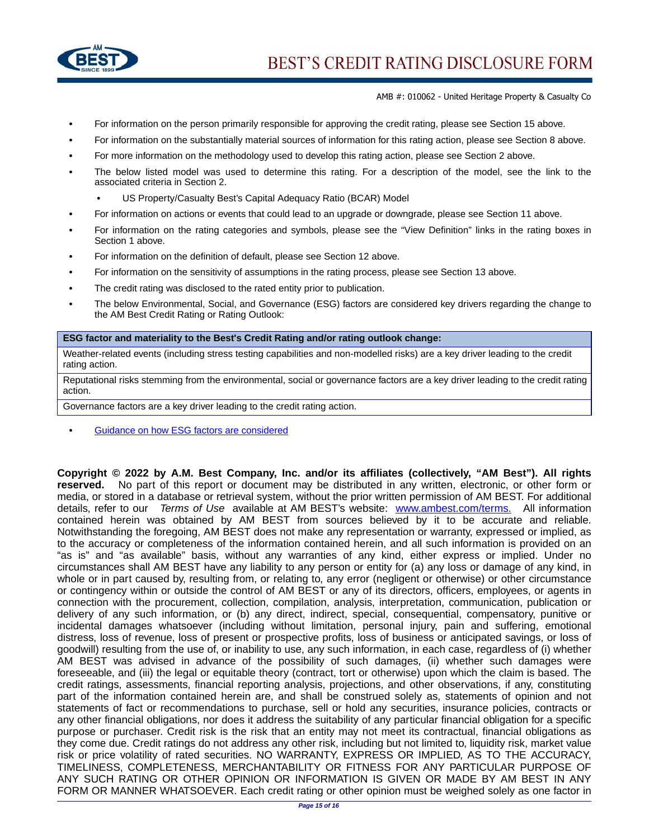

- **•** For information on the person primarily responsible for approving the credit rating, please see Section 15 above.
- **•** For information on the substantially material sources of information for this rating action, please see Section 8 above.
- **•** For more information on the methodology used to develop this rating action, please see Section 2 above.
- **•** The below listed model was used to determine this rating. For a description of the model, see the link to the associated criteria in Section 2.
	- **•** US Property/Casualty Best's Capital Adequacy Ratio (BCAR) Model
- **•** For information on actions or events that could lead to an upgrade or downgrade, please see Section 11 above.
- **•** For information on the rating categories and symbols, please see the "View Definition" links in the rating boxes in Section 1 above.
- **•** For information on the definition of default, please see Section 12 above.
- **•** For information on the sensitivity of assumptions in the rating process, please see Section 13 above.
- **•** The credit rating was disclosed to the rated entity prior to publication.
- **•** The below Environmental, Social, and Governance (ESG) factors are considered key drivers regarding the change to the AM Best Credit Rating or Rating Outlook:

#### **ESG factor and materiality to the Best's Credit Rating and/or rating outlook change:**

Weather-related events (including stress testing capabilities and non-modelled risks) are a key driver leading to the credit rating action.

Reputational risks stemming from the environmental, social or governance factors are a key driver leading to the credit rating action.

Governance factors are a key driver leading to the credit rating action.

**•** [Guidance on how ESG factors are considered](http://www3.ambest.com/ambv/ratingmethodology/openpdf.aspx?ubcr=1&ri=1416#ESG)

**Copyright © 2022 by A.M. Best Company, Inc. and/or its affiliates (collectively, "AM Best"). All rights reserved.** No part of this report or document may be distributed in any written, electronic, or other form or media, or stored in a database or retrieval system, without the prior written permission of AM BEST. For additional details, refer to our Terms of Use available at AM BEST's website: [www.ambest.com/terms.](www.ambest.com/terms) All information contained herein was obtained by AM BEST from sources believed by it to be accurate and reliable. Notwithstanding the foregoing, AM BEST does not make any representation or warranty, expressed or implied, as to the accuracy or completeness of the information contained herein, and all such information is provided on an "as is" and "as available" basis, without any warranties of any kind, either express or implied. Under no circumstances shall AM BEST have any liability to any person or entity for (a) any loss or damage of any kind, in whole or in part caused by, resulting from, or relating to, any error (negligent or otherwise) or other circumstance or contingency within or outside the control of AM BEST or any of its directors, officers, employees, or agents in connection with the procurement, collection, compilation, analysis, interpretation, communication, publication or delivery of any such information, or (b) any direct, indirect, special, consequential, compensatory, punitive or incidental damages whatsoever (including without limitation, personal injury, pain and suffering, emotional distress, loss of revenue, loss of present or prospective profits, loss of business or anticipated savings, or loss of goodwill) resulting from the use of, or inability to use, any such information, in each case, regardless of (i) whether AM BEST was advised in advance of the possibility of such damages, (ii) whether such damages were foreseeable, and (iii) the legal or equitable theory (contract, tort or otherwise) upon which the claim is based. The credit ratings, assessments, financial reporting analysis, projections, and other observations, if any, constituting part of the information contained herein are, and shall be construed solely as, statements of opinion and not statements of fact or recommendations to purchase, sell or hold any securities, insurance policies, contracts or any other financial obligations, nor does it address the suitability of any particular financial obligation for a specific purpose or purchaser. Credit risk is the risk that an entity may not meet its contractual, financial obligations as they come due. Credit ratings do not address any other risk, including but not limited to, liquidity risk, market value risk or price volatility of rated securities. NO WARRANTY, EXPRESS OR IMPLIED, AS TO THE ACCURACY, TIMELINESS, COMPLETENESS, MERCHANTABILITY OR FITNESS FOR ANY PARTICULAR PURPOSE OF ANY SUCH RATING OR OTHER OPINION OR INFORMATION IS GIVEN OR MADE BY AM BEST IN ANY FORM OR MANNER WHATSOEVER. Each credit rating or other opinion must be weighed solely as one factor in